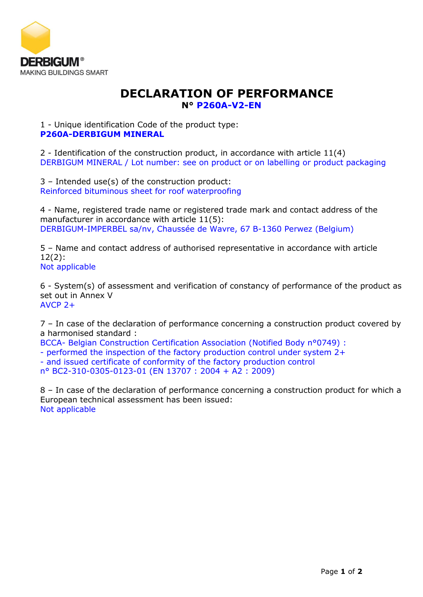

## **DECLARATION OF PERFORMANCE N° P260A-V2-EN**

1 - Unique identification Code of the product type: **P260A-DERBIGUM MINERAL**

2 - Identification of the construction product, in accordance with article 11(4) DERBIGUM MINERAL / Lot number: see on product or on labelling or product packaging

3 – Intended use(s) of the construction product: Reinforced bituminous sheet for roof waterproofing

4 - Name, registered trade name or registered trade mark and contact address of the manufacturer in accordance with article 11(5): DERBIGUM-IMPERBEL sa/nv, Chaussée de Wavre, 67 B-1360 Perwez (Belgium)

5 – Name and contact address of authorised representative in accordance with article 12(2): Not applicable

6 - System(s) of assessment and verification of constancy of performance of the product as set out in Annex V AVCP 2+

7 – In case of the declaration of performance concerning a construction product covered by a harmonised standard :

BCCA- Belgian Construction Certification Association (Notified Body n°0749) :

- performed the inspection of the factory production control under system 2+

- and issued certificate of conformity of the factory production control

n° BC2-310-0305-0123-01 (EN 13707 : 2004 + A2 : 2009)

8 – In case of the declaration of performance concerning a construction product for which a European technical assessment has been issued: Not applicable